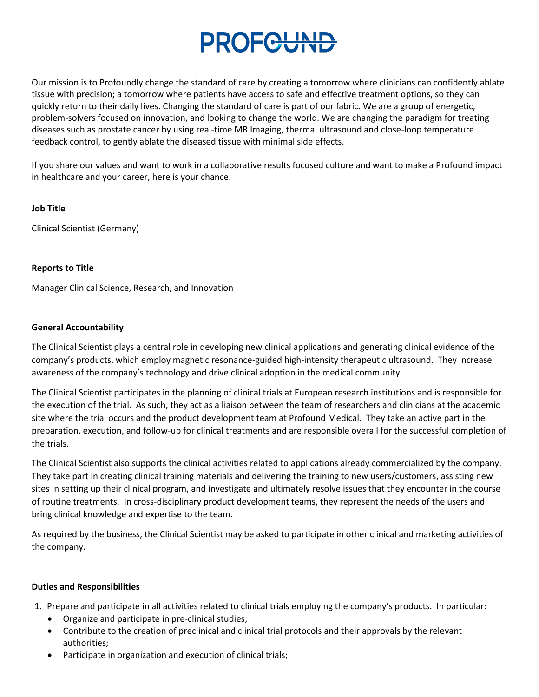# PROFGUND

Our mission is to Profoundly change the standard of care by creating a tomorrow where clinicians can confidently ablate tissue with precision; a tomorrow where patients have access to safe and effective treatment options, so they can quickly return to their daily lives. Changing the standard of care is part of our fabric. We are a group of energetic, problem-solvers focused on innovation, and looking to change the world. We are changing the paradigm for treating diseases such as prostate cancer by using real-time MR Imaging, thermal ultrasound and close-loop temperature feedback control, to gently ablate the diseased tissue with minimal side effects.

If you share our values and want to work in a collaborative results focused culture and want to make a Profound impact in healthcare and your career, here is your chance.

#### **Job Title**

Clinical Scientist (Germany)

#### **Reports to Title**

Manager Clinical Science, Research, and Innovation

#### **General Accountability**

The Clinical Scientist plays a central role in developing new clinical applications and generating clinical evidence of the company's products, which employ magnetic resonance-guided high-intensity therapeutic ultrasound. They increase awareness of the company's technology and drive clinical adoption in the medical community.

The Clinical Scientist participates in the planning of clinical trials at European research institutions and is responsible for the execution of the trial. As such, they act as a liaison between the team of researchers and clinicians at the academic site where the trial occurs and the product development team at Profound Medical. They take an active part in the preparation, execution, and follow-up for clinical treatments and are responsible overall for the successful completion of the trials.

The Clinical Scientist also supports the clinical activities related to applications already commercialized by the company. They take part in creating clinical training materials and delivering the training to new users/customers, assisting new sites in setting up their clinical program, and investigate and ultimately resolve issues that they encounter in the course of routine treatments. In cross-disciplinary product development teams, they represent the needs of the users and bring clinical knowledge and expertise to the team.

As required by the business, the Clinical Scientist may be asked to participate in other clinical and marketing activities of the company.

## **Duties and Responsibilities**

1. Prepare and participate in all activities related to clinical trials employing the company's products. In particular:

- Organize and participate in pre-clinical studies;
- Contribute to the creation of preclinical and clinical trial protocols and their approvals by the relevant authorities;
- Participate in organization and execution of clinical trials;